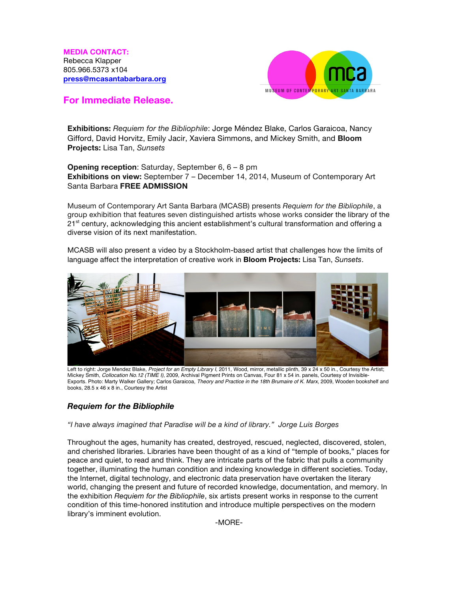**MEDIA CONTACT:**  Rebecca Klapper 805.966.5373 x104 **press@mcasantabarbara.org**



## **For Immediate Release.**

**Exhibitions:** *Requiem for the Bibliophile*: Jorge Méndez Blake, Carlos Garaicoa, Nancy Gifford, David Horvitz, Emily Jacir, Xaviera Simmons, and Mickey Smith, and **Bloom Projects:** Lisa Tan, *Sunsets*

**Opening reception**: Saturday, September 6, 6 – 8 pm **Exhibitions on view:** September 7 – December 14, 2014, Museum of Contemporary Art Santa Barbara **FREE ADMISSION**

Museum of Contemporary Art Santa Barbara (MCASB) presents *Requiem for the Bibliophile*, a group exhibition that features seven distinguished artists whose works consider the library of the  $21<sup>st</sup>$  century, acknowledging this ancient establishment's cultural transformation and offering a diverse vision of its next manifestation.

MCASB will also present a video by a Stockholm-based artist that challenges how the limits of language affect the interpretation of creative work in **Bloom Projects:** Lisa Tan, *Sunsets*.



Left to right: Jorge Mendez Blake, *Project for an Empty Library I*, 2011, Wood, mirror, metallic plinth, 39 x 24 x 50 in., Courtesy the Artist; Mickey Smith, *Collocation No.12 (TIME I)*, 2009, Archival Pigment Prints on Canvas, Four 81 x 54 in. panels, Courtesy of Invisible-Exports. Photo: Marty Walker Gallery; Carlos Garaicoa, *Theory and Practice in the 18th Brumaire of K. Marx*, 2009, Wooden bookshelf and books, 28.5 x 46 x 8 in., Courtesy the Artist

## *Requiem for the Bibliophile*

*"I have always imagined that Paradise will be a kind of library." Jorge Luis Borges*

Throughout the ages, humanity has created, destroyed, rescued, neglected, discovered, stolen, and cherished libraries. Libraries have been thought of as a kind of "temple of books," places for peace and quiet, to read and think. They are intricate parts of the fabric that pulls a community together, illuminating the human condition and indexing knowledge in different societies. Today, the Internet, digital technology, and electronic data preservation have overtaken the literary world, changing the present and future of recorded knowledge, documentation, and memory. In the exhibition *Requiem for the Bibliophile*, six artists present works in response to the current condition of this time-honored institution and introduce multiple perspectives on the modern library's imminent evolution.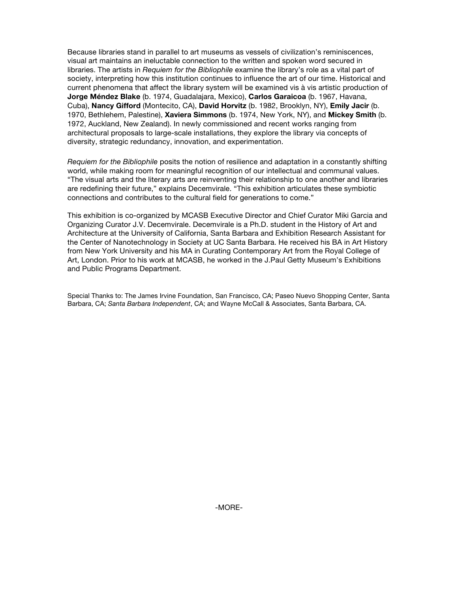Because libraries stand in parallel to art museums as vessels of civilization's reminiscences, visual art maintains an ineluctable connection to the written and spoken word secured in libraries. The artists in *Requiem for the Bibliophile* examine the library's role as a vital part of society, interpreting how this institution continues to influence the art of our time. Historical and current phenomena that affect the library system will be examined vis à vis artistic production of **Jorge Méndez Blake** (b. 1974, Guadalajara, Mexico), **Carlos Garaicoa** (b. 1967, Havana, Cuba), **Nancy Gifford** (Montecito, CA), **David Horvitz** (b. 1982, Brooklyn, NY), **Emily Jacir** (b. 1970, Bethlehem, Palestine), **Xaviera Simmons** (b. 1974, New York, NY), and **Mickey Smith** (b. 1972, Auckland, New Zealand). In newly commissioned and recent works ranging from architectural proposals to large-scale installations, they explore the library via concepts of diversity, strategic redundancy, innovation, and experimentation.

*Requiem for the Bibliophile* posits the notion of resilience and adaptation in a constantly shifting world, while making room for meaningful recognition of our intellectual and communal values. "The visual arts and the literary arts are reinventing their relationship to one another and libraries are redefining their future," explains Decemvirale. "This exhibition articulates these symbiotic connections and contributes to the cultural field for generations to come."

This exhibition is co-organized by MCASB Executive Director and Chief Curator Miki Garcia and Organizing Curator J.V. Decemvirale. Decemvirale is a Ph.D. student in the History of Art and Architecture at the University of California, Santa Barbara and Exhibition Research Assistant for the Center of Nanotechnology in Society at UC Santa Barbara. He received his BA in Art History from New York University and his MA in Curating Contemporary Art from the Royal College of Art, London. Prior to his work at MCASB, he worked in the J.Paul Getty Museum's Exhibitions and Public Programs Department.

Special Thanks to: The James Irvine Foundation, San Francisco, CA; Paseo Nuevo Shopping Center, Santa Barbara, CA; *Santa Barbara Independent*, CA; and Wayne McCall & Associates, Santa Barbara, CA.